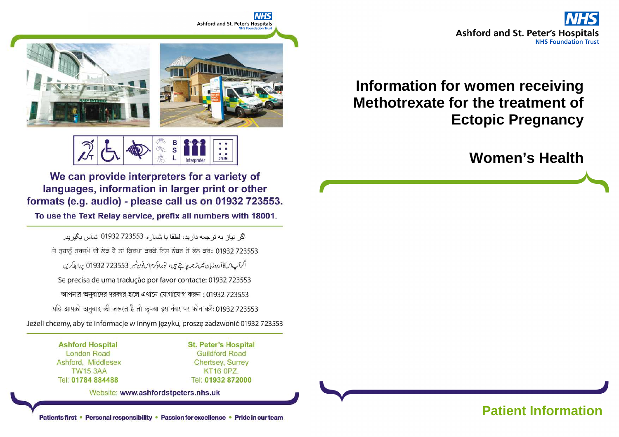**Ashford and St. Peter's Hospitals NHS Foundation Trust** 

## **Information for women receiving Methotrexate for the treatment of Ectopic Pregnancy**

## **Women's Health**

**NHS Ashford and St. Peter's Hospitals** 



We can provide interpreters for a variety of languages, information in larger print or other formats (e.g. audio) - please call us on 01932 723553.

To use the Text Relay service, prefix all numbers with 18001.

اگر نياز به ترجمه داريد، لطفا يا شمار ه 723553 01932 تماس بگيريد. ਜੇ ਤੁਹਾਨੂੰ ਤਰਜਮੇ ਦੀ ਲੋੜ ਹੈ ਤਾਂ ਕਿਰਪਾ ਕਰਕੇ ਇਸ ਨੰਬਰ ਤੇ ਫੋਨ ਕਰੋ: 01932 723553 اگرآپ این کا أردوزبان میں ترجمہ چاہتے ہیں، توبراہ کرم ایں فون نمبر 723553 01932 پر ابطہ کریں Se precisa de uma tradução por favor contacte: 01932 723553 আপনার অনুবাদের দরকার হলে এখানে যোগাযোগ করুন: 01932 723553 यदि आपको अनुवाद की ज़रूरत है तो कृपया इस नंबर पर फोन करें: 01932 723553 Jeżeli chcemy, aby te informacje w innym języku, proszę zadzwonić 01932 723553

> **Ashford Hospital London Road** Ashford, Middlesex **TW15 3AA** Tel: 01784 884488

**St. Peter's Hospital Guildford Road Chertsey, Surrey KT16 0PZ.** Tel: 01932 872000

Website: www.ashfordstpeters.nhs.uk

Patients first • Personal responsibility • Passion for excellence • Pride in our team **Patient Information**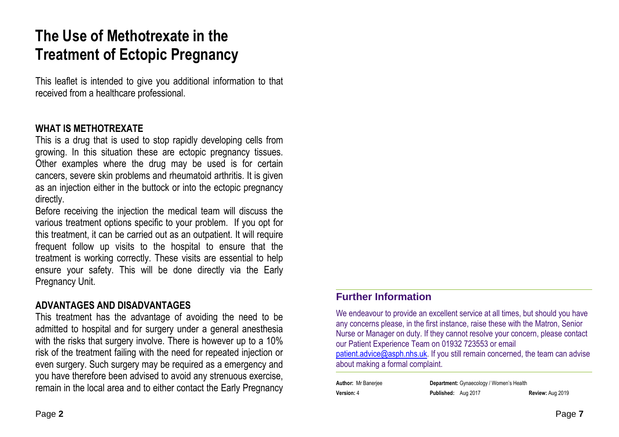# **The Use of Methotrexate in the Treatment of Ectopic Pregnancy**

This leaflet is intended to give you additional information to that received from a healthcare professional.

#### **WHAT IS METHOTREXATE**

This is a drug that is used to stop rapidly developing cells from growing. In this situation these are ectopic pregnancy tissues. Other examples where the drug may be used is for certain cancers, severe skin problems and rheumatoid arthritis. It is given as an injection either in the buttock or into the ectopic pregnancy directly.

Before receiving the injection the medical team will discuss the various treatment options specific to your problem. If you opt for this treatment, it can be carried out as an outpatient. It will require frequent follow up visits to the hospital to ensure that the treatment is working correctly. These visits are essential to help ensure your safety. This will be done directly via the Early Pregnancy Unit.

### **ADVANTAGES AND DISADVANTAGES**

This treatment has the advantage of avoiding the need to be admitted to hospital and for surgery under a general anesthesia with the risks that surgery involve. There is however up to a 10% risk of the treatment failing with the need for repeated injection or even surgery. Such surgery may be required as a emergency and you have therefore been advised to avoid any strenuous exercise, remain in the local area and to either contact the Early Pregnancy

# **Further Information**

We endeavour to provide an excellent service at all times, but should you have any concerns please, in the first instance, raise these with the Matron, Senior Nurse or Manager on duty. If they cannot resolve your concern, please contact our Patient Experience Team on 01932 723553 or email

patient.advice@asph.nhs.uk. If you still remain concerned, the team can advise about making a formal complaint.

|                   | Author: Mr Banerjee |
|-------------------|---------------------|
| <b>Version: 4</b> |                     |

**Author:** Mr Banerjee **Department:** Gynaecology / Women's Health**Version:** 4 **Published:** Aug 2017 **Review:** Aug 2019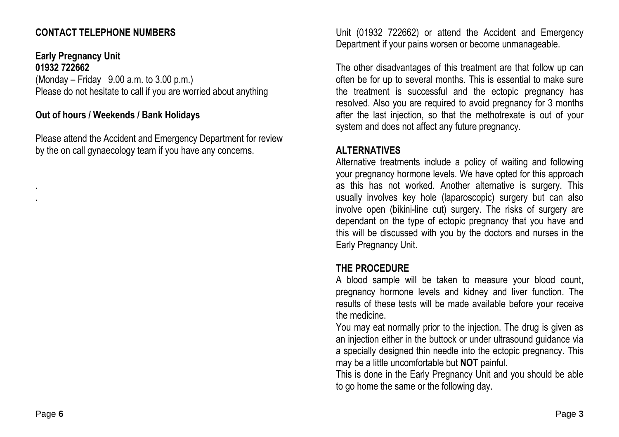#### **CONTACT TELEPHONE NUMBERS**

**Early Pregnancy Unit 01932 722662**  $(Monday - Friday 9.00 a.m. to 3.00 p.m.)$ Please do not hesitate to call if you are worried about anything

#### **Out of hours / Weekends / Bank Holidays**

Please attend the Accident and Emergency Department for review by the on call gynaecology team if you have any concerns.

Unit (01932 722662) or attend the Accident and Emergency Department if your pains worsen or become unmanageable.

The other disadvantages of this treatment are that follow up can often be for up to several months. This is essential to make sure the treatment is successful and the ectopic pregnancy has resolved. Also you are required to avoid pregnancy for 3 months after the last injection, so that the methotrexate is out of your system and does not affect any future pregnancy.

#### **ALTERNATIVES**

 Alternative treatments include a policy of waiting and following your pregnancy hormone levels. We have opted for this approach as this has not worked. Another alternative is surgery. This usually involves key hole (laparoscopic) surgery but can also involve open (bikini-line cut) surgery. The risks of surgery are dependant on the type of ectopic pregnancy that you have and this will be discussed with you by the doctors and nurses in the Early Pregnancy Unit.

#### **THE PROCEDURE**

 A blood sample will be taken to measure your blood count, pregnancy hormone levels and kidney and liver function. The results of these tests will be made available before your receive the medicine.

 You may eat normally prior to the injection. The drug is given as an injection either in the buttock or under ultrasound guidance via a specially designed thin needle into the ectopic pregnancy. This may be a little uncomfortable but **NOT** painful.

This is done in the Early Pregnancy Unit and you should be able to go home the same or the following day.